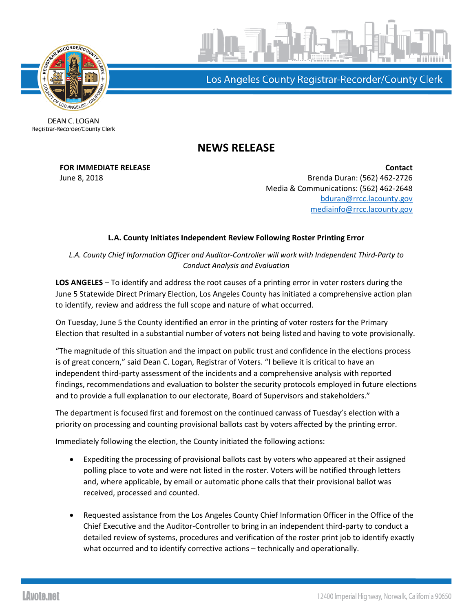

Los Angeles County Registrar-Recorder/County Clerk

DEAN C. LOGAN Registrar-Recorder/County Clerk

## **NEWS RELEASE**

**FOR IMMEDIATE RELEASE Contact** June 8, 2018 Brenda Duran: (562) 462-2726 Media & Communications: (562) 462-2648 [bduran@rrcc.lacounty.gov](mailto:bduran@rrcc.lacounty.gov) [mediainfo@rrcc.lacounty.gov](mailto:mediainfo@rrcc.lacounty.gov)

## **L.A. County Initiates Independent Review Following Roster Printing Error**

*L.A. County Chief Information Officer and Auditor-Controller will work with Independent Third-Party to Conduct Analysis and Evaluation*

**LOS ANGELES** – To identify and address the root causes of a printing error in voter rosters during the June 5 Statewide Direct Primary Election, Los Angeles County has initiated a comprehensive action plan to identify, review and address the full scope and nature of what occurred.

On Tuesday, June 5 the County identified an error in the printing of voter rosters for the Primary Election that resulted in a substantial number of voters not being listed and having to vote provisionally.

"The magnitude of this situation and the impact on public trust and confidence in the elections process is of great concern," said Dean C. Logan, Registrar of Voters. "I believe it is critical to have an independent third-party assessment of the incidents and a comprehensive analysis with reported findings, recommendations and evaluation to bolster the security protocols employed in future elections and to provide a full explanation to our electorate, Board of Supervisors and stakeholders."

The department is focused first and foremost on the continued canvass of Tuesday's election with a priority on processing and counting provisional ballots cast by voters affected by the printing error.

Immediately following the election, the County initiated the following actions:

- Expediting the processing of provisional ballots cast by voters who appeared at their assigned polling place to vote and were not listed in the roster. Voters will be notified through letters and, where applicable, by email or automatic phone calls that their provisional ballot was received, processed and counted.
- Requested assistance from the Los Angeles County Chief Information Officer in the Office of the Chief Executive and the Auditor-Controller to bring in an independent third-party to conduct a detailed review of systems, procedures and verification of the roster print job to identify exactly what occurred and to identify corrective actions – technically and operationally.